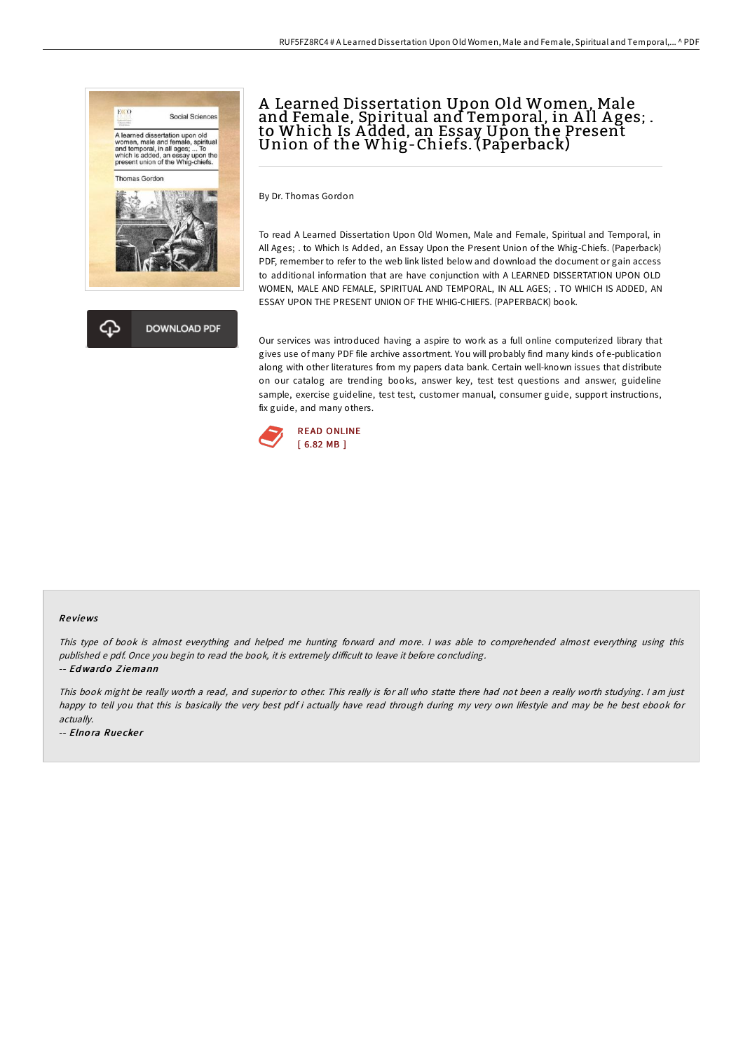



# A Learned Dissertation Upon Old Women, Male and Female, Spiritual and Temporal, in All Ages; . to Which Is A dded, an Essay Upon the Present Union of the Whig-Chiefs. (Paperback)

By Dr. Thomas Gordon

To read A Learned Dissertation Upon Old Women, Male and Female, Spiritual and Temporal, in All Ages; . to Which Is Added, an Essay Upon the Present Union of the Whig-Chiefs. (Paperback) PDF, remember to refer to the web link listed below and download the document or gain access to additional information that are have conjunction with A LEARNED DISSERTATION UPON OLD WOMEN, MALE AND FEMALE, SPIRITUAL AND TEMPORAL, IN ALL AGES; . TO WHICH IS ADDED, AN ESSAY UPON THE PRESENT UNION OF THE WHIG-CHIEFS. (PAPERBACK) book.

Our services was introduced having a aspire to work as a full online computerized library that gives use of many PDF file archive assortment. You will probably find many kinds of e-publication along with other literatures from my papers data bank. Certain well-known issues that distribute on our catalog are trending books, answer key, test test questions and answer, guideline sample, exercise guideline, test test, customer manual, consumer guide, support instructions, fix guide, and many others.



#### Re views

This type of book is almost everything and helped me hunting forward and more. <sup>I</sup> was able to comprehended almost everything using this published e pdf. Once you begin to read the book, it is extremely difficult to leave it before concluding.

-- Edwardo Ziemann

This book might be really worth <sup>a</sup> read, and superior to other. This really is for all who statte there had not been <sup>a</sup> really worth studying. <sup>I</sup> am just happy to tell you that this is basically the very best pdf i actually have read through during my very own lifestyle and may be he best ebook for actually.

-- Elno ra Rue cke <sup>r</sup>